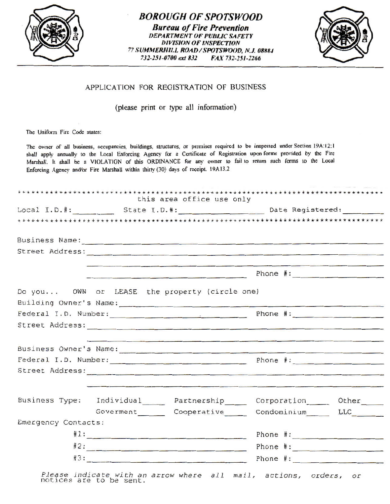

## *BOROUGH OF SPOTSWOOD Bureau of Fire Prevention*  **DEPARTMENT OF PUBLIC SAFETY** *DIVISION OF INSPECTION 77 SUMMERHll.L ROAD I SPOTSWOOD, N.J. 08ll8./*  732-251-0700 ext 832 FAX 732-251-2266



## APPLICATION FOR REGISTRATION OF BUSINESS

(please print or type all information)

The Uniform Fire Code states:

The owner of all business, occupancies, buildings, structures, or premises required to be inspected under Section 19A:12:1 shall apply annually to the Local Enforcing Agency for a Certificate of Registration upon forms provided by the Fire Marshall. It shall be a VIOLATION of this ORDINANCE for any owner to fail to return such forms to the Local Enforcing Agency and/or Fire Marshall within thirty (30) days of receipt. 19A13.2

|                               |  | this area office use only                                                                                                                                                                                                            |  |                                                                                    |
|-------------------------------|--|--------------------------------------------------------------------------------------------------------------------------------------------------------------------------------------------------------------------------------------|--|------------------------------------------------------------------------------------|
|                               |  |                                                                                                                                                                                                                                      |  |                                                                                    |
|                               |  |                                                                                                                                                                                                                                      |  |                                                                                    |
|                               |  |                                                                                                                                                                                                                                      |  |                                                                                    |
|                               |  | Street Address: New York Street Address:                                                                                                                                                                                             |  |                                                                                    |
|                               |  | <u> 1986 - Jan Barnett, Amerikaansk politiker (* 1988)</u>                                                                                                                                                                           |  | the control of the first control of the presentation and control of the control of |
|                               |  |                                                                                                                                                                                                                                      |  |                                                                                    |
|                               |  | Do you OWN or LEASE the property (circle one)                                                                                                                                                                                        |  |                                                                                    |
|                               |  |                                                                                                                                                                                                                                      |  |                                                                                    |
| Federal I.D. Number: Phone #: |  |                                                                                                                                                                                                                                      |  |                                                                                    |
|                               |  |                                                                                                                                                                                                                                      |  |                                                                                    |
|                               |  | <u> 1989 - An Dùbhlachd ann an Dùbhlachd ann an Dùbhlachd ann an Dùbhlachd ann an Dùbhlachd ann an Dùbhlachd ann </u>                                                                                                                |  |                                                                                    |
|                               |  | Business Owner's Name:                                                                                                                                                                                                               |  |                                                                                    |
|                               |  |                                                                                                                                                                                                                                      |  |                                                                                    |
|                               |  |                                                                                                                                                                                                                                      |  |                                                                                    |
|                               |  | <u> Alexandria de la componentación de la componentación de la componentación de la componentación de la componentación de la componentación de la componentación de la componentación de la componentación de la componentación</u> |  |                                                                                    |
|                               |  | Business Type: Individual _____ Partnership _____ Corporation _____ Other _____                                                                                                                                                      |  |                                                                                    |
|                               |  |                                                                                                                                                                                                                                      |  |                                                                                    |
|                               |  | Governent Cooperative Condominium LLC                                                                                                                                                                                                |  |                                                                                    |
|                               |  |                                                                                                                                                                                                                                      |  |                                                                                    |
| Emergency Contacts:           |  | $#1:$ Phone $#1:$                                                                                                                                                                                                                    |  |                                                                                    |
|                               |  | #2: Phone #:                                                                                                                                                                                                                         |  |                                                                                    |